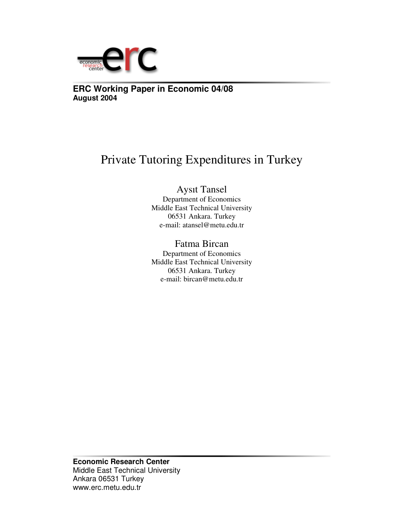

**ERC Working Paper in Economic 04/08 August 2004**

## Private Tutoring Expenditures in Turkey

Aysıt Tansel Department of Economics Middle East Technical University 06531 Ankara. Turkey e-mail: atansel@metu.edu.tr

Fatma Bircan Department of Economics Middle East Technical University 06531 Ankara. Turkey e-mail: bircan@metu.edu.tr

**Economic Research Center** Middle East Technical University Ankara 06531 Turkey www.erc.metu.edu.tr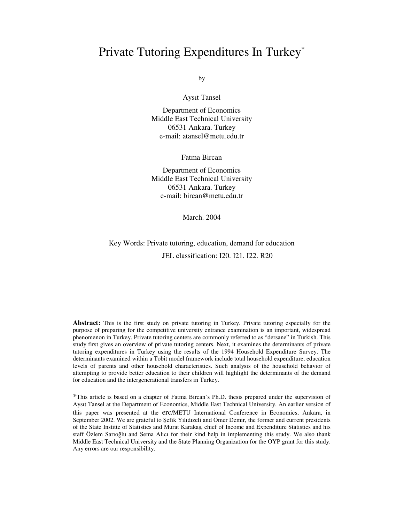### Private Tutoring Expenditures In Turkey\*

by

Aysıt Tansel

Department of Economics Middle East Technical University 06531 Ankara. Turkey e-mail: atansel@metu.edu.tr

Fatma Bircan

Department of Economics Middle East Technical University 06531 Ankara. Turkey e-mail: bircan@metu.edu.tr

March. 2004

Key Words: Private tutoring, education, demand for education

JEL classification: I20. I21. I22. R20

**Abstract:** This is the first study on private tutoring in Turkey. Private tutoring especially for the purpose of preparing for the competitive university entrance examination is an important, widespread phenomenon in Turkey. Private tutoring centers are commonly referred to as "dersane" in Turkish. This study first gives an overview of private tutoring centers. Next, it examines the determinants of private tutoring expenditures in Turkey using the results of the 1994 Household Expenditure Survey. The determinants examined within a Tobit model framework include total household expenditure, education levels of parents and other household characteristics. Such analysis of the household behavior of attempting to provide better education to their children will highlight the determinants of the demand for education and the intergenerational transfers in Turkey.

\*This article is based on a chapter of Fatma Bircan's Ph.D. thesis prepared under the supervision of Aysıt Tansel at the Department of Economics, Middle East Technical University. An earlier version of this paper was presented at the erc/METU International Conference in Economics, Ankara, in September 2002. We are grateful to Sefik Yılıdızeli and Ömer Demir, the former and current presidents of the State Institte of Statistics and Murat Karakaş, chief of Income and Expenditure Statistics and his staff Özlem Sarıoğlu and Sema Alıcı for their kind help in implementing this study. We also thank Middle East Technical University and the State Planning Organization for the OYP grant for this study. Any errors are our responsibility.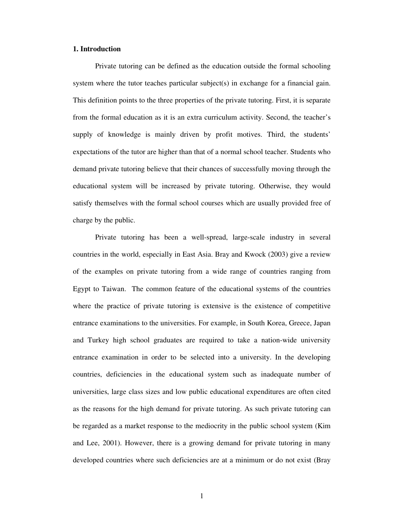#### **1. Introduction**

Private tutoring can be defined as the education outside the formal schooling system where the tutor teaches particular subject(s) in exchange for a financial gain. This definition points to the three properties of the private tutoring. First, it is separate from the formal education as it is an extra curriculum activity. Second, the teacher's supply of knowledge is mainly driven by profit motives. Third, the students' expectations of the tutor are higher than that of a normal school teacher. Students who demand private tutoring believe that their chances of successfully moving through the educational system will be increased by private tutoring. Otherwise, they would satisfy themselves with the formal school courses which are usually provided free of charge by the public.

Private tutoring has been a well-spread, large-scale industry in several countries in the world, especially in East Asia. Bray and Kwock (2003) give a review of the examples on private tutoring from a wide range of countries ranging from Egypt to Taiwan. The common feature of the educational systems of the countries where the practice of private tutoring is extensive is the existence of competitive entrance examinations to the universities. For example, in South Korea, Greece, Japan and Turkey high school graduates are required to take a nation-wide university entrance examination in order to be selected into a university. In the developing countries, deficiencies in the educational system such as inadequate number of universities, large class sizes and low public educational expenditures are often cited as the reasons for the high demand for private tutoring. As such private tutoring can be regarded as a market response to the mediocrity in the public school system (Kim and Lee, 2001). However, there is a growing demand for private tutoring in many developed countries where such deficiencies are at a minimum or do not exist (Bray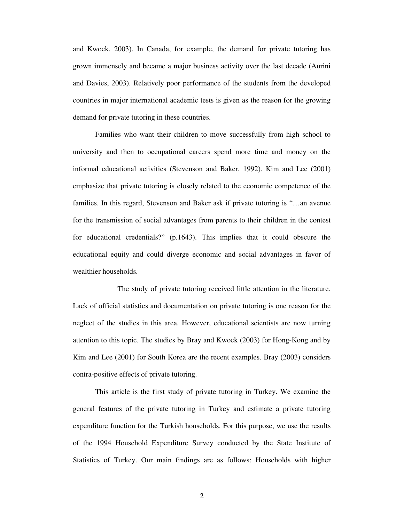and Kwock, 2003). In Canada, for example, the demand for private tutoring has grown immensely and became a major business activity over the last decade (Aurini and Davies, 2003). Relatively poor performance of the students from the developed countries in major international academic tests is given as the reason for the growing demand for private tutoring in these countries.

Families who want their children to move successfully from high school to university and then to occupational careers spend more time and money on the informal educational activities (Stevenson and Baker, 1992). Kim and Lee (2001) emphasize that private tutoring is closely related to the economic competence of the families. In this regard, Stevenson and Baker ask if private tutoring is "…an avenue for the transmission of social advantages from parents to their children in the contest for educational credentials?" (p.1643). This implies that it could obscure the educational equity and could diverge economic and social advantages in favor of wealthier households.

The study of private tutoring received little attention in the literature. Lack of official statistics and documentation on private tutoring is one reason for the neglect of the studies in this area. However, educational scientists are now turning attention to this topic. The studies by Bray and Kwock (2003) for Hong-Kong and by Kim and Lee (2001) for South Korea are the recent examples. Bray (2003) considers contra-positive effects of private tutoring.

This article is the first study of private tutoring in Turkey. We examine the general features of the private tutoring in Turkey and estimate a private tutoring expenditure function for the Turkish households. For this purpose, we use the results of the 1994 Household Expenditure Survey conducted by the State Institute of Statistics of Turkey. Our main findings are as follows: Households with higher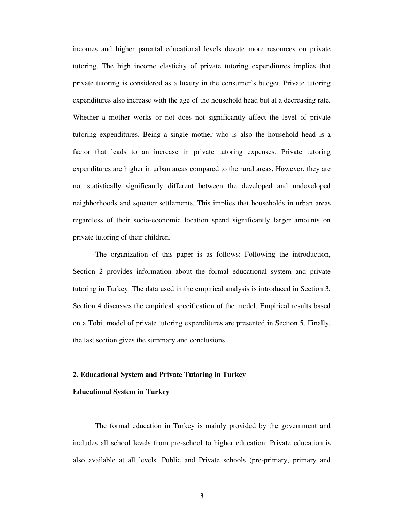incomes and higher parental educational levels devote more resources on private tutoring. The high income elasticity of private tutoring expenditures implies that private tutoring is considered as a luxury in the consumer's budget. Private tutoring expenditures also increase with the age of the household head but at a decreasing rate. Whether a mother works or not does not significantly affect the level of private tutoring expenditures. Being a single mother who is also the household head is a factor that leads to an increase in private tutoring expenses. Private tutoring expenditures are higher in urban areas compared to the rural areas. However, they are not statistically significantly different between the developed and undeveloped neighborhoods and squatter settlements. This implies that households in urban areas regardless of their socio-economic location spend significantly larger amounts on private tutoring of their children.

The organization of this paper is as follows: Following the introduction, Section 2 provides information about the formal educational system and private tutoring in Turkey. The data used in the empirical analysis is introduced in Section 3. Section 4 discusses the empirical specification of the model. Empirical results based on a Tobit model of private tutoring expenditures are presented in Section 5. Finally, the last section gives the summary and conclusions.

#### **2. Educational System and Private Tutoring in Turkey**

#### **Educational System in Turkey**

The formal education in Turkey is mainly provided by the government and includes all school levels from pre-school to higher education. Private education is also available at all levels. Public and Private schools (pre-primary, primary and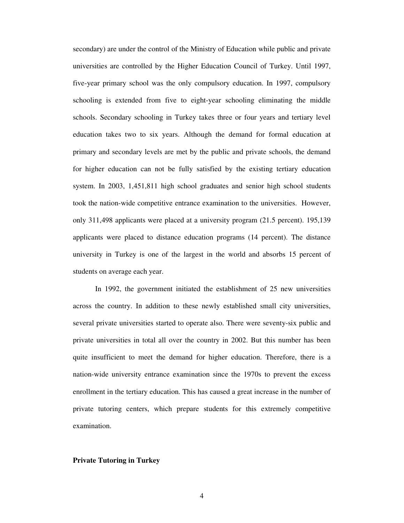secondary) are under the control of the Ministry of Education while public and private universities are controlled by the Higher Education Council of Turkey. Until 1997, five-year primary school was the only compulsory education. In 1997, compulsory schooling is extended from five to eight-year schooling eliminating the middle schools. Secondary schooling in Turkey takes three or four years and tertiary level education takes two to six years. Although the demand for formal education at primary and secondary levels are met by the public and private schools, the demand for higher education can not be fully satisfied by the existing tertiary education system. In 2003, 1,451,811 high school graduates and senior high school students took the nation-wide competitive entrance examination to the universities. However, only 311,498 applicants were placed at a university program (21.5 percent). 195,139 applicants were placed to distance education programs (14 percent). The distance university in Turkey is one of the largest in the world and absorbs 15 percent of students on average each year.

In 1992, the government initiated the establishment of 25 new universities across the country. In addition to these newly established small city universities, several private universities started to operate also. There were seventy-six public and private universities in total all over the country in 2002. But this number has been quite insufficient to meet the demand for higher education. Therefore, there is a nation-wide university entrance examination since the 1970s to prevent the excess enrollment in the tertiary education. This has caused a great increase in the number of private tutoring centers, which prepare students for this extremely competitive examination.

#### **Private Tutoring in Turkey**

4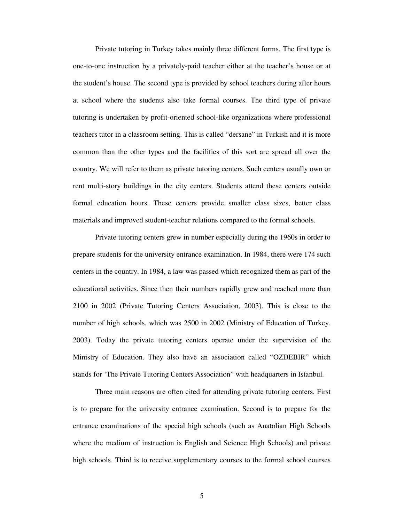Private tutoring in Turkey takes mainly three different forms. The first type is one-to-one instruction by a privately-paid teacher either at the teacher's house or at the student's house. The second type is provided by school teachers during after hours at school where the students also take formal courses. The third type of private tutoring is undertaken by profit-oriented school-like organizations where professional teachers tutor in a classroom setting. This is called "dersane" in Turkish and it is more common than the other types and the facilities of this sort are spread all over the country. We will refer to them as private tutoring centers. Such centers usually own or rent multi-story buildings in the city centers. Students attend these centers outside formal education hours. These centers provide smaller class sizes, better class materials and improved student-teacher relations compared to the formal schools.

Private tutoring centers grew in number especially during the 1960s in order to prepare students for the university entrance examination. In 1984, there were 174 such centers in the country. In 1984, a law was passed which recognized them as part of the educational activities. Since then their numbers rapidly grew and reached more than 2100 in 2002 (Private Tutoring Centers Association, 2003). This is close to the number of high schools, which was 2500 in 2002 (Ministry of Education of Turkey, 2003). Today the private tutoring centers operate under the supervision of the Ministry of Education. They also have an association called "OZDEBIR" which stands for 'The Private Tutoring Centers Association" with headquarters in Istanbul.

Three main reasons are often cited for attending private tutoring centers. First is to prepare for the university entrance examination. Second is to prepare for the entrance examinations of the special high schools (such as Anatolian High Schools where the medium of instruction is English and Science High Schools) and private high schools. Third is to receive supplementary courses to the formal school courses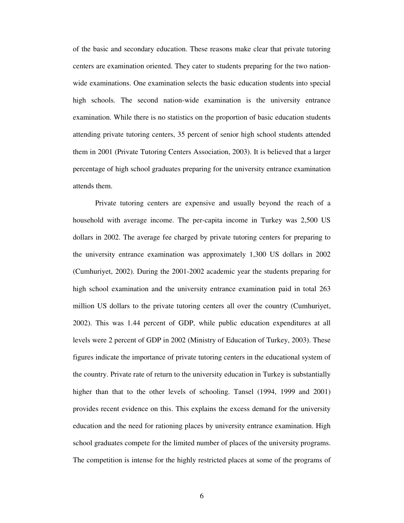of the basic and secondary education. These reasons make clear that private tutoring centers are examination oriented. They cater to students preparing for the two nationwide examinations. One examination selects the basic education students into special high schools. The second nation-wide examination is the university entrance examination. While there is no statistics on the proportion of basic education students attending private tutoring centers, 35 percent of senior high school students attended them in 2001 (Private Tutoring Centers Association, 2003). It is believed that a larger percentage of high school graduates preparing for the university entrance examination attends them.

Private tutoring centers are expensive and usually beyond the reach of a household with average income. The per-capita income in Turkey was 2,500 US dollars in 2002. The average fee charged by private tutoring centers for preparing to the university entrance examination was approximately 1,300 US dollars in 2002 (Cumhuriyet, 2002). During the 2001-2002 academic year the students preparing for high school examination and the university entrance examination paid in total 263 million US dollars to the private tutoring centers all over the country (Cumhuriyet, 2002). This was 1.44 percent of GDP, while public education expenditures at all levels were 2 percent of GDP in 2002 (Ministry of Education of Turkey, 2003). These figures indicate the importance of private tutoring centers in the educational system of the country. Private rate of return to the university education in Turkey is substantially higher than that to the other levels of schooling. Tansel (1994, 1999 and 2001) provides recent evidence on this. This explains the excess demand for the university education and the need for rationing places by university entrance examination. High school graduates compete for the limited number of places of the university programs. The competition is intense for the highly restricted places at some of the programs of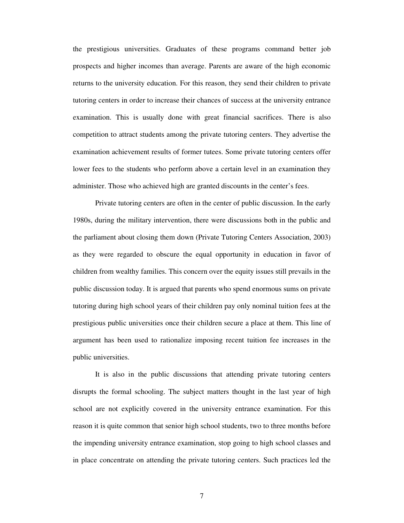the prestigious universities. Graduates of these programs command better job prospects and higher incomes than average. Parents are aware of the high economic returns to the university education. For this reason, they send their children to private tutoring centers in order to increase their chances of success at the university entrance examination. This is usually done with great financial sacrifices. There is also competition to attract students among the private tutoring centers. They advertise the examination achievement results of former tutees. Some private tutoring centers offer lower fees to the students who perform above a certain level in an examination they administer. Those who achieved high are granted discounts in the center's fees.

Private tutoring centers are often in the center of public discussion. In the early 1980s, during the military intervention, there were discussions both in the public and the parliament about closing them down (Private Tutoring Centers Association, 2003) as they were regarded to obscure the equal opportunity in education in favor of children from wealthy families. This concern over the equity issues still prevails in the public discussion today. It is argued that parents who spend enormous sums on private tutoring during high school years of their children pay only nominal tuition fees at the prestigious public universities once their children secure a place at them. This line of argument has been used to rationalize imposing recent tuition fee increases in the public universities.

It is also in the public discussions that attending private tutoring centers disrupts the formal schooling. The subject matters thought in the last year of high school are not explicitly covered in the university entrance examination. For this reason it is quite common that senior high school students, two to three months before the impending university entrance examination, stop going to high school classes and in place concentrate on attending the private tutoring centers. Such practices led the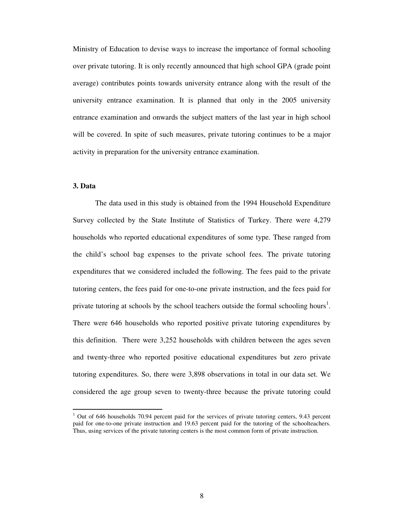Ministry of Education to devise ways to increase the importance of formal schooling over private tutoring. It is only recently announced that high school GPA (grade point average) contributes points towards university entrance along with the result of the university entrance examination. It is planned that only in the 2005 university entrance examination and onwards the subject matters of the last year in high school will be covered. In spite of such measures, private tutoring continues to be a major activity in preparation for the university entrance examination.

#### **3. Data**

The data used in this study is obtained from the 1994 Household Expenditure Survey collected by the State Institute of Statistics of Turkey. There were 4,279 households who reported educational expenditures of some type. These ranged from the child's school bag expenses to the private school fees. The private tutoring expenditures that we considered included the following. The fees paid to the private tutoring centers, the fees paid for one-to-one private instruction, and the fees paid for private tutoring at schools by the school teachers outside the formal schooling hours<sup>1</sup>. There were 646 households who reported positive private tutoring expenditures by this definition. There were 3,252 households with children between the ages seven and twenty-three who reported positive educational expenditures but zero private tutoring expenditures. So, there were 3,898 observations in total in our data set. We considered the age group seven to twenty-three because the private tutoring could

<sup>&</sup>lt;sup>1</sup> Out of 646 households 70.94 percent paid for the services of private tutoring centers, 9.43 percent paid for one-to-one private instruction and 19.63 percent paid for the tutoring of the schoolteachers. Thus, using services of the private tutoring centers is the most common form of private instruction.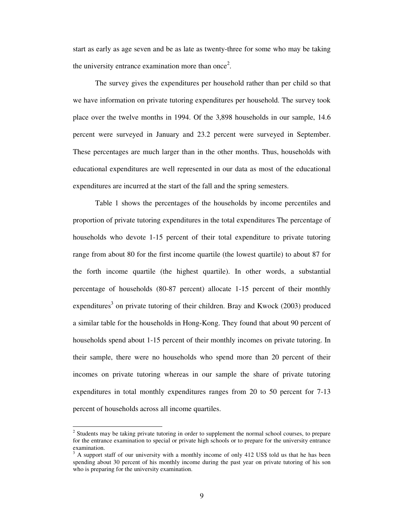start as early as age seven and be as late as twenty-three for some who may be taking the university entrance examination more than once<sup>2</sup>.

The survey gives the expenditures per household rather than per child so that we have information on private tutoring expenditures per household. The survey took place over the twelve months in 1994. Of the 3,898 households in our sample, 14.6 percent were surveyed in January and 23.2 percent were surveyed in September. These percentages are much larger than in the other months. Thus, households with educational expenditures are well represented in our data as most of the educational expenditures are incurred at the start of the fall and the spring semesters.

Table 1 shows the percentages of the households by income percentiles and proportion of private tutoring expenditures in the total expenditures The percentage of households who devote 1-15 percent of their total expenditure to private tutoring range from about 80 for the first income quartile (the lowest quartile) to about 87 for the forth income quartile (the highest quartile). In other words, a substantial percentage of households (80-87 percent) allocate 1-15 percent of their monthly expenditures<sup>3</sup> on private tutoring of their children. Bray and Kwock (2003) produced a similar table for the households in Hong-Kong. They found that about 90 percent of households spend about 1-15 percent of their monthly incomes on private tutoring. In their sample, there were no households who spend more than 20 percent of their incomes on private tutoring whereas in our sample the share of private tutoring expenditures in total monthly expenditures ranges from 20 to 50 percent for 7-13 percent of households across all income quartiles.

<sup>&</sup>lt;sup>2</sup> Students may be taking private tutoring in order to supplement the normal school courses, to prepare for the entrance examination to special or private high schools or to prepare for the university entrance examination.

<sup>3</sup> A support staff of our university with a monthly income of only 412 US\$ told us that he has been spending about 30 percent of his monthly income during the past year on private tutoring of his son who is preparing for the university examination.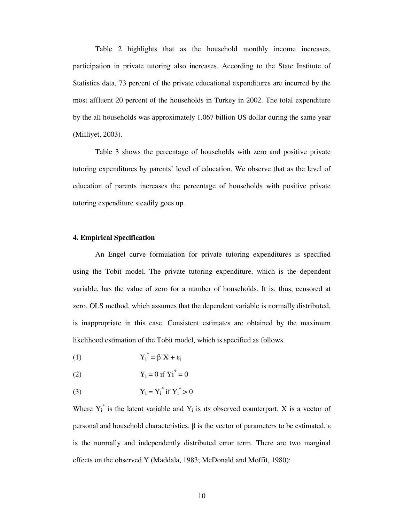Table 2 highlights that as the household monthly income increases, participation in private tutoring also increases. According to the State Institute of Statistics data, 73 percent of the private educational expenditures are incurred by the most affluent 20 percent of the households in Turkey in 2002. The total expenditure by the all households was approximately 1.067 billion US dollar during the same year (Milliyet, 2003).

Table 3 shows the percentage of households with zero and positive private tutoring expenditures by parents' level of education. We observe that as the level of education of parents increases the percentage of households with positive private tutoring expenditure steadily goes up.

#### **4. Empirical Specification**

An Engel curve formulation for private tutoring expenditures is specified using the Tobit model. The private tutoring expenditure, which is the dependent variable, has the value of zero for a number of households. It is, thus, censored at zero. OLS method, which assumes that the dependent variable is normally distributed, is inappropriate in this case. Consistent estimates are obtained by the maximum likelihood estimation of the Tobit model, which is specified as follows.

$$
Y_i^* = \beta' X + \varepsilon_i
$$

- (2)  $Y_i = 0 \text{ if } Y_i^* = 0$
- (3)  $Y_i = Y_i^*$  if  $Y_i^* > 0$

Where  $Y_i^*$  is the latent variable and  $Y_i$  is its observed counterpart. X is a vector of personal and household characteristics.  $\beta$  is the vector of parameters to be estimated.  $\varepsilon$ is the normally and independently distributed error term. There are two marginal effects on the observed Y (Maddala, 1983; McDonald and Moffit, 1980):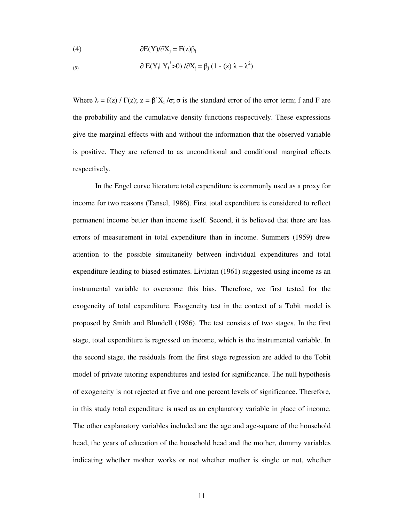(4) 
$$
\partial E(Y)/\partial X_j = F(z)\beta_j
$$

(5) 
$$
\partial E(Y_i | Y_i^* > 0) / \partial X_j = \beta_j (1 - (z) \lambda - \lambda^2)
$$

Where  $\lambda = f(z) / F(z)$ ;  $z = \beta' X_i / \sigma$ ;  $\sigma$  is the standard error of the error term; f and F are the probability and the cumulative density functions respectively. These expressions give the marginal effects with and without the information that the observed variable is positive. They are referred to as unconditional and conditional marginal effects respectively.

In the Engel curve literature total expenditure is commonly used as a proxy for income for two reasons (Tansel, 1986). First total expenditure is considered to reflect permanent income better than income itself. Second, it is believed that there are less errors of measurement in total expenditure than in income. Summers (1959) drew attention to the possible simultaneity between individual expenditures and total expenditure leading to biased estimates. Liviatan (1961) suggested using income as an instrumental variable to overcome this bias. Therefore, we first tested for the exogeneity of total expenditure. Exogeneity test in the context of a Tobit model is proposed by Smith and Blundell (1986). The test consists of two stages. In the first stage, total expenditure is regressed on income, which is the instrumental variable. In the second stage, the residuals from the first stage regression are added to the Tobit model of private tutoring expenditures and tested for significance. The null hypothesis of exogeneity is not rejected at five and one percent levels of significance. Therefore, in this study total expenditure is used as an explanatory variable in place of income. The other explanatory variables included are the age and age-square of the household head, the years of education of the household head and the mother, dummy variables indicating whether mother works or not whether mother is single or not, whether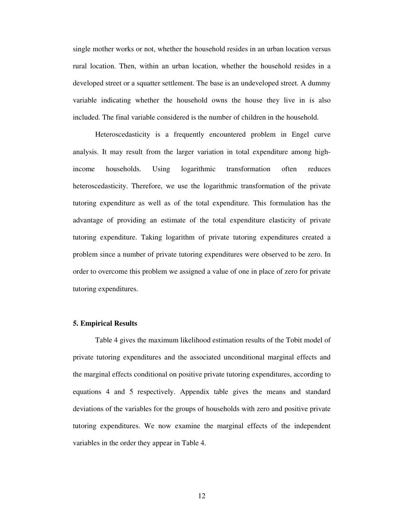single mother works or not, whether the household resides in an urban location versus rural location. Then, within an urban location, whether the household resides in a developed street or a squatter settlement. The base is an undeveloped street. A dummy variable indicating whether the household owns the house they live in is also included. The final variable considered is the number of children in the household.

Heteroscedasticity is a frequently encountered problem in Engel curve analysis. It may result from the larger variation in total expenditure among highincome households. Using logarithmic transformation often reduces heteroscedasticity. Therefore, we use the logarithmic transformation of the private tutoring expenditure as well as of the total expenditure. This formulation has the advantage of providing an estimate of the total expenditure elasticity of private tutoring expenditure. Taking logarithm of private tutoring expenditures created a problem since a number of private tutoring expenditures were observed to be zero. In order to overcome this problem we assigned a value of one in place of zero for private tutoring expenditures.

#### **5. Empirical Results**

Table 4 gives the maximum likelihood estimation results of the Tobit model of private tutoring expenditures and the associated unconditional marginal effects and the marginal effects conditional on positive private tutoring expenditures, according to equations 4 and 5 respectively. Appendix table gives the means and standard deviations of the variables for the groups of households with zero and positive private tutoring expenditures. We now examine the marginal effects of the independent variables in the order they appear in Table 4.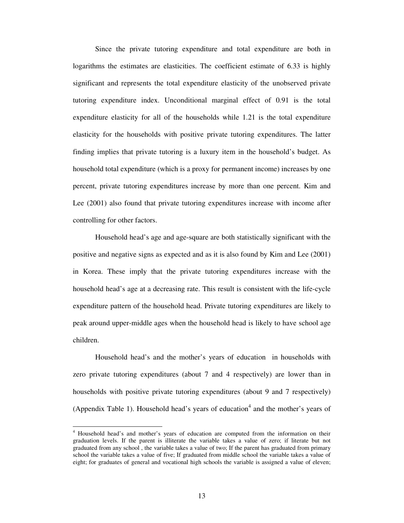Since the private tutoring expenditure and total expenditure are both in logarithms the estimates are elasticities. The coefficient estimate of 6.33 is highly significant and represents the total expenditure elasticity of the unobserved private tutoring expenditure index. Unconditional marginal effect of 0.91 is the total expenditure elasticity for all of the households while 1.21 is the total expenditure elasticity for the households with positive private tutoring expenditures. The latter finding implies that private tutoring is a luxury item in the household's budget. As household total expenditure (which is a proxy for permanent income) increases by one percent, private tutoring expenditures increase by more than one percent. Kim and Lee (2001) also found that private tutoring expenditures increase with income after controlling for other factors.

Household head's age and age-square are both statistically significant with the positive and negative signs as expected and as it is also found by Kim and Lee (2001) in Korea. These imply that the private tutoring expenditures increase with the household head's age at a decreasing rate. This result is consistent with the life-cycle expenditure pattern of the household head. Private tutoring expenditures are likely to peak around upper-middle ages when the household head is likely to have school age children.

Household head's and the mother's years of education in households with zero private tutoring expenditures (about 7 and 4 respectively) are lower than in households with positive private tutoring expenditures (about 9 and 7 respectively) (Appendix Table 1). Household head's years of education 4 and the mother's years of

<sup>4</sup> Household head's and mother's years of education are computed from the information on their graduation levels. If the parent is illiterate the variable takes a value of zero; if literate but not graduated from any school , the variable takes a value of two; If the parent has graduated from primary school the variable takes a value of five; If graduated from middle school the variable takes a value of eight; for graduates of general and vocational high schools the variable is assigned a value of eleven;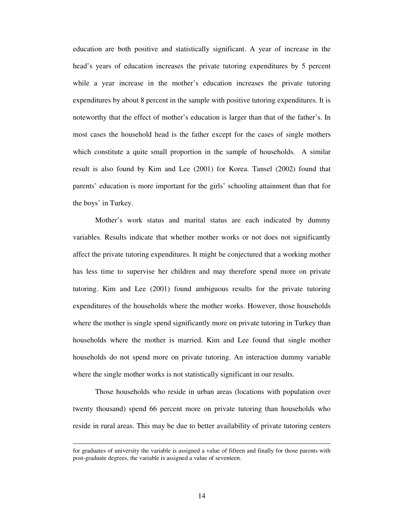education are both positive and statistically significant. A year of increase in the head's years of education increases the private tutoring expenditures by 5 percent while a year increase in the mother's education increases the private tutoring expenditures by about 8 percent in the sample with positive tutoring expenditures. It is noteworthy that the effect of mother's education is larger than that of the father's. In most cases the household head is the father except for the cases of single mothers which constitute a quite small proportion in the sample of households. A similar result is also found by Kim and Lee (2001) for Korea. Tansel (2002) found that parents' education is more important for the girls' schooling attainment than that for the boys' in Turkey.

Mother's work status and marital status are each indicated by dummy variables. Results indicate that whether mother works or not does not significantly affect the private tutoring expenditures. It might be conjectured that a working mother has less time to supervise her children and may therefore spend more on private tutoring. Kim and Lee (2001) found ambiguous results for the private tutoring expenditures of the households where the mother works. However, those households where the mother is single spend significantly more on private tutoring in Turkey than households where the mother is married. Kim and Lee found that single mother households do not spend more on private tutoring. An interaction dummy variable where the single mother works is not statistically significant in our results.

Those households who reside in urban areas (locations with population over twenty thousand) spend 66 percent more on private tutoring than households who reside in rural areas. This may be due to better availability of private tutoring centers

for graduates of university the variable is assigned a value of fifteen and finally for those parents with post-graduate degrees, the variable is assigned a value of seventeen.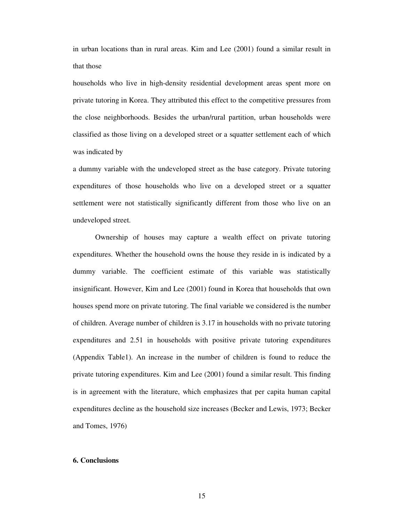in urban locations than in rural areas. Kim and Lee (2001) found a similar result in that those

households who live in high-density residential development areas spent more on private tutoring in Korea. They attributed this effect to the competitive pressures from the close neighborhoods. Besides the urban/rural partition, urban households were classified as those living on a developed street or a squatter settlement each of which was indicated by

a dummy variable with the undeveloped street as the base category. Private tutoring expenditures of those households who live on a developed street or a squatter settlement were not statistically significantly different from those who live on an undeveloped street.

Ownership of houses may capture a wealth effect on private tutoring expenditures. Whether the household owns the house they reside in is indicated by a dummy variable. The coefficient estimate of this variable was statistically insignificant. However, Kim and Lee (2001) found in Korea that households that own houses spend more on private tutoring. The final variable we considered is the number of children. Average number of children is 3.17 in households with no private tutoring expenditures and 2.51 in households with positive private tutoring expenditures (Appendix Table1). An increase in the number of children is found to reduce the private tutoring expenditures. Kim and Lee (2001) found a similar result. This finding is in agreement with the literature, which emphasizes that per capita human capital expenditures decline as the household size increases (Becker and Lewis, 1973; Becker and Tomes, 1976)

#### **6. Conclusions**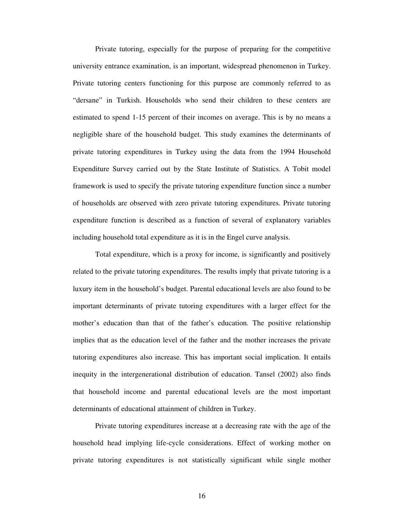Private tutoring, especially for the purpose of preparing for the competitive university entrance examination, is an important, widespread phenomenon in Turkey. Private tutoring centers functioning for this purpose are commonly referred to as "dersane" in Turkish. Households who send their children to these centers are estimated to spend 1-15 percent of their incomes on average. This is by no means a negligible share of the household budget. This study examines the determinants of private tutoring expenditures in Turkey using the data from the 1994 Household Expenditure Survey carried out by the State Institute of Statistics. A Tobit model framework is used to specify the private tutoring expenditure function since a number of households are observed with zero private tutoring expenditures. Private tutoring expenditure function is described as a function of several of explanatory variables including household total expenditure as it is in the Engel curve analysis.

Total expenditure, which is a proxy for income, is significantly and positively related to the private tutoring expenditures. The results imply that private tutoring is a luxury item in the household's budget. Parental educational levels are also found to be important determinants of private tutoring expenditures with a larger effect for the mother's education than that of the father's education. The positive relationship implies that as the education level of the father and the mother increases the private tutoring expenditures also increase. This has important social implication. It entails inequity in the intergenerational distribution of education. Tansel (2002) also finds that household income and parental educational levels are the most important determinants of educational attainment of children in Turkey.

Private tutoring expenditures increase at a decreasing rate with the age of the household head implying life-cycle considerations. Effect of working mother on private tutoring expenditures is not statistically significant while single mother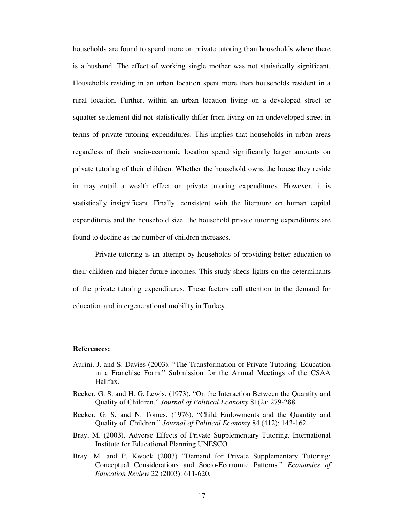households are found to spend more on private tutoring than households where there is a husband. The effect of working single mother was not statistically significant. Households residing in an urban location spent more than households resident in a rural location. Further, within an urban location living on a developed street or squatter settlement did not statistically differ from living on an undeveloped street in terms of private tutoring expenditures. This implies that households in urban areas regardless of their socio-economic location spend significantly larger amounts on private tutoring of their children. Whether the household owns the house they reside in may entail a wealth effect on private tutoring expenditures. However, it is statistically insignificant. Finally, consistent with the literature on human capital expenditures and the household size, the household private tutoring expenditures are found to decline as the number of children increases.

Private tutoring is an attempt by households of providing better education to their children and higher future incomes. This study sheds lights on the determinants of the private tutoring expenditures. These factors call attention to the demand for education and intergenerational mobility in Turkey.

#### **References:**

- Aurini, J. and S. Davies (2003). "The Transformation of Private Tutoring: Education in a Franchise Form." Submission for the Annual Meetings of the CSAA Halifax.
- Becker, G. S. and H. G. Lewis. (1973). "On the Interaction Between the Quantity and Quality of Children." *Journal of Political Economy* 81(2): 279-288.
- Becker, G. S. and N. Tomes. (1976). "Child Endowments and the Quantity and Quality of Children." *Journal of Political Economy* 84 (412): 143-162.
- Bray, M. (2003). Adverse Effects of Private Supplementary Tutoring. International Institute for Educational Planning UNESCO.
- Bray. M. and P. Kwock (2003) "Demand for Private Supplementary Tutoring: Conceptual Considerations and Socio-Economic Patterns." *Economics of Education Review* 22 (2003): 611-620.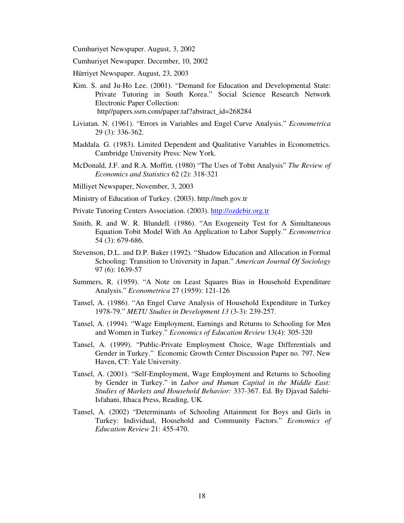Cumhuriyet Newspaper. August, 3, 2002

Cumhuriyet Newspaper. December, 10, 2002

Hürriyet Newspaper. August, 23, 2003

- Kim. S. and Ju-Ho Lee. (2001). "Demand for Education and Developmental State: Private Tutoring in South Korea." Social Science Research Network Electronic Paper Collection: http//papers.ssrn.com/paper.taf?abstract\_id=268284
- Liviatan. N. (1961). "Errors in Variables and Engel Curve Analysis." *Econometrica* 29 (3): 336-362.
- Maddala. G. (1983). Limited Dependent and Qualitative Variables in Econometrics. Cambridge University Press: New York.
- McDonald, J.F. and R.A. Moffitt. (1980) "The Uses of Tobit Analysis" *The Review of Economics and Statistics* 62 (2): 318-321
- Milliyet Newspaper, November, 3, 2003
- Ministry of Education of Turkey. (2003). http://meb.gov.tr

Private Tutoring Centers Association. (2003). http://ozdebir.org.tr

- Smith, R. and W. R. Blundell. (1986). "An Exogeneity Test for A Simultaneous Equation Tobit Model With An Application to Labor Supply." *Econometrica* 54 (3): 679-686.
- Stevenson, D.L. and D.P. Baker (1992). "Shadow Education and Allocation in Formal Schooling: Transition to University in Japan." *American Journal Of Sociology* 97 (6): 1639-57
- Summers, R. (1959). "A Note on Least Squares Bias in Household Expenditure Analysis." *Econometrica* 27 (1959): 121-126
- Tansel, A. (1986). "An Engel Curve Analysis of Household Expenditure in Turkey 1978-79." *METU Studies in Development 13* (3-3): 239-257.
- Tansel, A. (1994). "Wage Employment, Earnings and Returns to Schooling for Men and Women in Turkey." *Economics of Education Review* 13(4): 305-320
- Tansel, A. (1999). "Public-Private Employment Choice, Wage Differentials and Gender in Turkey." Economic Growth Center Discussion Paper no. 797. New Haven, CT: Yale University.
- Tansel, A. (2001). "Self-Employment, Wage Employment and Returns to Schooling by Gender in Turkey." in *Labor and Human Capital in the Middle East: Studies of Markets and Household Behavior:* 337-367. Ed. By Djavad Salehi-Isfahani, Ithaca Press, Reading, UK.
- Tansel, A. (2002) "Determinants of Schooling Attainment for Boys and Girls in Turkey: Individual, Household and Community Factors." *Economics of Education Review* 21: 455-470.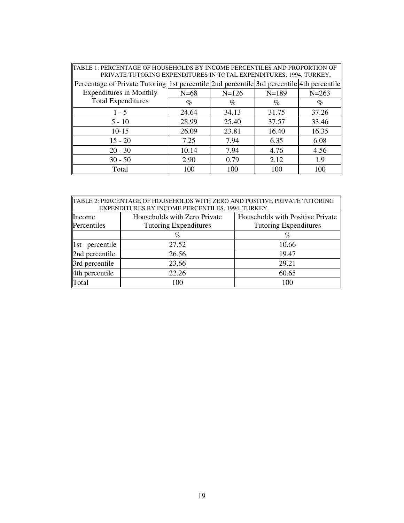| TABLE 1: PERCENTAGE OF HOUSEHOLDS BY INCOME PERCENTILES AND PROPORTION OF<br>PRIVATE TUTORING EXPENDITURES IN TOTAL EXPENDITURES, 1994, TURKEY, |        |         |                                                                                            |           |  |
|-------------------------------------------------------------------------------------------------------------------------------------------------|--------|---------|--------------------------------------------------------------------------------------------|-----------|--|
|                                                                                                                                                 |        |         | Percentage of Private Tutoring 1st percentile 2nd percentile 3rd percentile 4th percentile |           |  |
| <b>Expenditures in Monthly</b>                                                                                                                  | $N=68$ | $N=126$ | $N=189$                                                                                    | $N = 263$ |  |
| <b>Total Expenditures</b>                                                                                                                       | $\%$   | $\%$    | $\%$                                                                                       | $\%$      |  |
| $1 - 5$                                                                                                                                         | 24.64  | 34.13   | 31.75                                                                                      | 37.26     |  |
| $5 - 10$                                                                                                                                        | 28.99  | 25.40   | 37.57                                                                                      | 33.46     |  |
| $10-15$                                                                                                                                         | 26.09  | 23.81   | 16.40                                                                                      | 16.35     |  |
| $15 - 20$                                                                                                                                       | 7.25   | 7.94    | 6.35                                                                                       | 6.08      |  |
| $20 - 30$                                                                                                                                       | 10.14  | 7.94    | 4.76                                                                                       | 4.56      |  |
| $30 - 50$                                                                                                                                       | 2.90   | 0.79    | 2.12                                                                                       | 1.9       |  |
| Total                                                                                                                                           | 100    | 100     | 100                                                                                        | 100       |  |

| TABLE 2: PERCENTAGE OF HOUSEHOLDS WITH ZERO AND POSITIVE PRIVATE TUTORING<br>EXPENDITURES BY INCOME PERCENTILES. 1994, TURKEY. |                              |                                  |  |
|--------------------------------------------------------------------------------------------------------------------------------|------------------------------|----------------------------------|--|
| Income                                                                                                                         | Households with Zero Private | Households with Positive Private |  |
| Percentiles                                                                                                                    | <b>Tutoring Expenditures</b> | <b>Tutoring Expenditures</b>     |  |
|                                                                                                                                | $\%$                         | %                                |  |
| percentile<br>$\ 1st\ $                                                                                                        | 27.52                        | 10.66                            |  |
| 2nd percentile                                                                                                                 | 26.56                        | 19.47                            |  |
| 3rd percentile                                                                                                                 | 23.66                        | 29.21                            |  |
| 4th percentile                                                                                                                 | 22.26                        | 60.65                            |  |
| Total                                                                                                                          | 100                          | 100                              |  |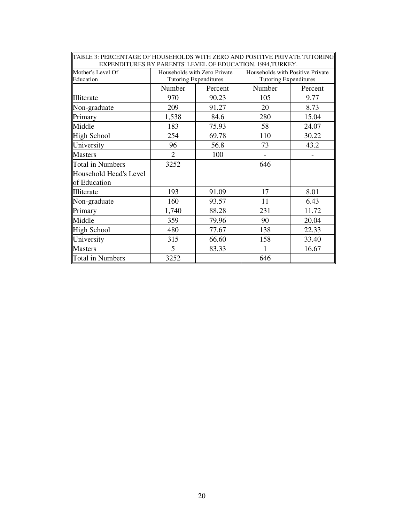| EXPENDITURES BY PARENTS' LEVEL OF EDUCATION. 1994,TURKEY. |                                                       |         |                                                                  |         |
|-----------------------------------------------------------|-------------------------------------------------------|---------|------------------------------------------------------------------|---------|
| Mother's Level Of<br>Education                            | Households with Zero Private<br>Tutoring Expenditures |         | Households with Positive Private<br><b>Tutoring Expenditures</b> |         |
|                                                           | Number                                                | Percent | Number                                                           | Percent |
| Illiterate                                                | 970                                                   | 90.23   | 105                                                              | 9.77    |
| Non-graduate                                              | 209                                                   | 91.27   | 20                                                               | 8.73    |
| Primary                                                   | 1,538                                                 | 84.6    | 280                                                              | 15.04   |
| Middle                                                    | 183                                                   | 75.93   | 58                                                               | 24.07   |
| High School                                               | 254                                                   | 69.78   | 110                                                              | 30.22   |
| University                                                | 96                                                    | 56.8    | 73                                                               | 43.2    |
| <b>Masters</b>                                            | $\overline{2}$                                        | 100     |                                                                  |         |
| <b>Total in Numbers</b>                                   | 3252                                                  |         | 646                                                              |         |
| Household Head's Level<br>of Education                    |                                                       |         |                                                                  |         |
| Illiterate                                                | 193                                                   | 91.09   | 17                                                               | 8.01    |
| Non-graduate                                              | 160                                                   | 93.57   | 11                                                               | 6.43    |
| Primary                                                   | 1,740                                                 | 88.28   | 231                                                              | 11.72   |
| Middle                                                    | 359                                                   | 79.96   | 90                                                               | 20.04   |
| High School                                               | 480                                                   | 77.67   | 138                                                              | 22.33   |
| University                                                | 315                                                   | 66.60   | 158                                                              | 33.40   |
| <b>Masters</b>                                            | 5                                                     | 83.33   |                                                                  | 16.67   |
| Total in Numbers                                          | 3252                                                  |         | 646                                                              |         |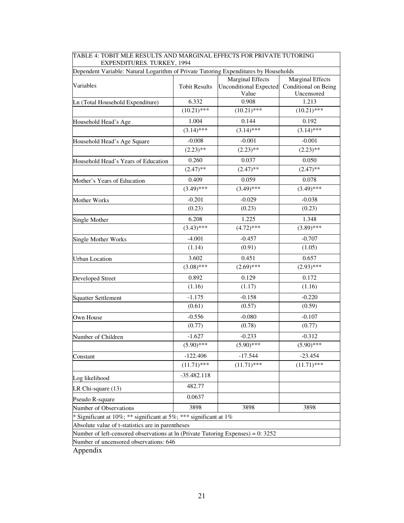| TABLE 4: TOBIT MLE RESULTS AND MARGINAL EFFECTS FOR PRIVATE TUTORING<br>EXPENDITURES. TURKEY, 1994 |                      |                                                                   |                                                               |
|----------------------------------------------------------------------------------------------------|----------------------|-------------------------------------------------------------------|---------------------------------------------------------------|
| Dependent Variable: Natural Logarithm of Private Tutoring Expenditures by Households               |                      |                                                                   |                                                               |
| Variables                                                                                          | <b>Tobit Results</b> | <b>Marginal Effects</b><br><b>Unconditional Expected</b><br>Value | <b>Marginal Effects</b><br>Conditional on Being<br>Uncensored |
| Ln (Total Household Expenditure)                                                                   | 6.332                | 0.908                                                             | 1.213                                                         |
|                                                                                                    | $(10.21)$ ***        | $(10.21)$ ***                                                     | $(10.21)$ ***                                                 |
| Household Head's Age                                                                               | 1.004                | 0.144                                                             | 0.192                                                         |
|                                                                                                    | $(3.14)$ ***         | $(3.14)$ ***                                                      | $(3.14)$ ***                                                  |
| Household Head's Age Square                                                                        | $-0.008$             | $-0.001$                                                          | $-0.001$                                                      |
|                                                                                                    | $(2.23)$ **          | $(2.23)$ **                                                       | $(2.23)$ **                                                   |
| Household Head's Years of Education                                                                | 0.260                | 0.037                                                             | 0.050                                                         |
|                                                                                                    | $(2.47)$ **          | $(2.47)$ **                                                       | $(2.47)$ **                                                   |
| Mother's Years of Education                                                                        | 0.409                | 0.059                                                             | 0.078                                                         |
|                                                                                                    | $(3.49)$ ***         | $(3.49)$ ***                                                      | $(3.49)$ ***                                                  |
| Mother Works                                                                                       | $-0.201$             | $-0.029$                                                          | $-0.038$                                                      |
|                                                                                                    | (0.23)               | (0.23)                                                            | (0.23)                                                        |
| Single Mother                                                                                      | 6.208                | 1.225                                                             | 1.348                                                         |
|                                                                                                    | $(3.43)$ ***         | $(4.72)$ ***                                                      | $(3.89)$ ***                                                  |
| <b>Single Mother Works</b>                                                                         | $-4.001$             | $-0.457$                                                          | $-0.707$                                                      |
|                                                                                                    | (1.14)               | (0.91)                                                            | (1.05)                                                        |
| <b>Urban Location</b>                                                                              | 3.602                | 0.451                                                             | 0.657                                                         |
|                                                                                                    | $(3.08)$ ***         | $(2.69)$ ***                                                      | $(2.93)$ ***                                                  |
| Developed Street                                                                                   | 0.892                | 0.129                                                             | 0.172                                                         |
|                                                                                                    | (1.16)               | (1.17)                                                            | (1.16)                                                        |
| <b>Squatter Settlement</b>                                                                         | $-1.175$             | $-0.158$                                                          | $-0.220$                                                      |
|                                                                                                    | (0.61)               | (0.57)                                                            | (0.59)                                                        |
| Own House                                                                                          | $-0.556$             | $-0.080$                                                          | $-0.107$                                                      |
|                                                                                                    | (0.77)               | (0.78)                                                            | (0.77)                                                        |
| Number of Children                                                                                 | $-1.627$             | $-0.233$                                                          | $-0.312$                                                      |
|                                                                                                    | $(5.90)$ ***         | $(5.90)$ ***                                                      | $(5.90)$ ***                                                  |
| Constant                                                                                           | $-122.406$           | $-17.544$                                                         | $-23.454$                                                     |
|                                                                                                    | $(11.71)$ ***        | $(11.71)$ ***                                                     | $(11.71)$ ***                                                 |
| Log likelihood                                                                                     | $-35.482.118$        |                                                                   |                                                               |
| LR Chi-square (13)                                                                                 | 482.77               |                                                                   |                                                               |
| Pseudo R-square                                                                                    | 0.0637               |                                                                   |                                                               |
| Number of Observations                                                                             | 3898                 | 3898                                                              | 3898                                                          |
| * Significant at 10%; ** significant at 5%; *** significant at 1%                                  |                      |                                                                   |                                                               |
| Absolute value of t-statistics are in parentheses                                                  |                      |                                                                   |                                                               |
| Number of left-censored observations at ln (Private Tutoring Expenses) = 0: 3252                   |                      |                                                                   |                                                               |
| Number of uncensored observations: 646                                                             |                      |                                                                   |                                                               |

Appendix